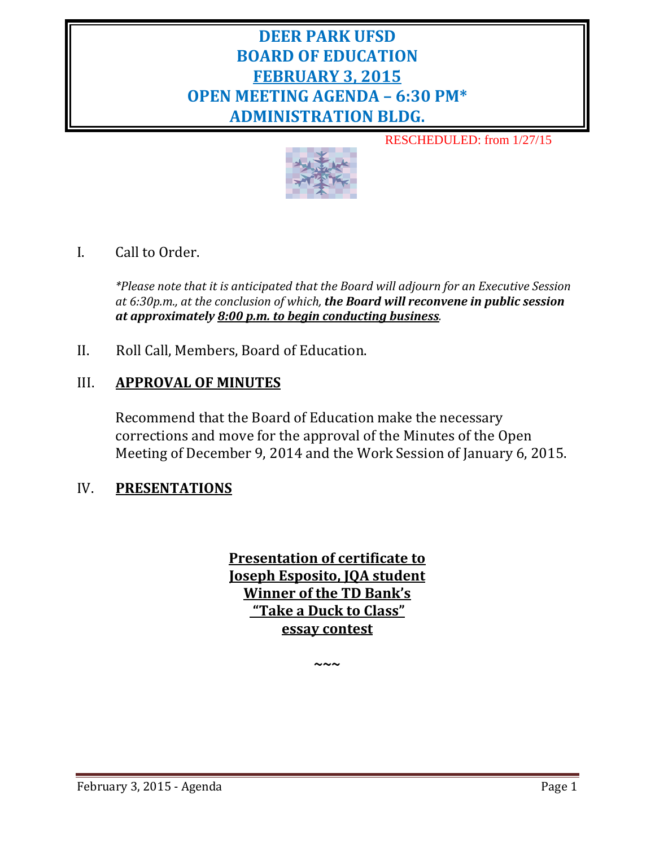# **DEER PARK UFSD BOARD OF EDUCATION FEBRUARY 3, 2015 OPEN MEETING AGENDA – 6:30 PM\* ADMINISTRATION BLDG.**

RESCHEDULED: from 1/27/15



# I. Call to Order.

*\*Please note that it is anticipated that the Board will adjourn for an Executive Session at 6:30p.m., at the conclusion of which, the Board will reconvene in public session at approximately 8:00 p.m. to begin conducting business.*

II. Roll Call, Members, Board of Education.

## III. **APPROVAL OF MINUTES**

Recommend that the Board of Education make the necessary corrections and move for the approval of the Minutes of the Open Meeting of December 9, 2014 and the Work Session of January 6, 2015.

## IV. **PRESENTATIONS**

**Presentation of certificate to Joseph Esposito, JQA student Winner of the TD Bank's "Take a Duck to Class" essay contest**

**~~~**

February 3, 2015 - Agenda Page 1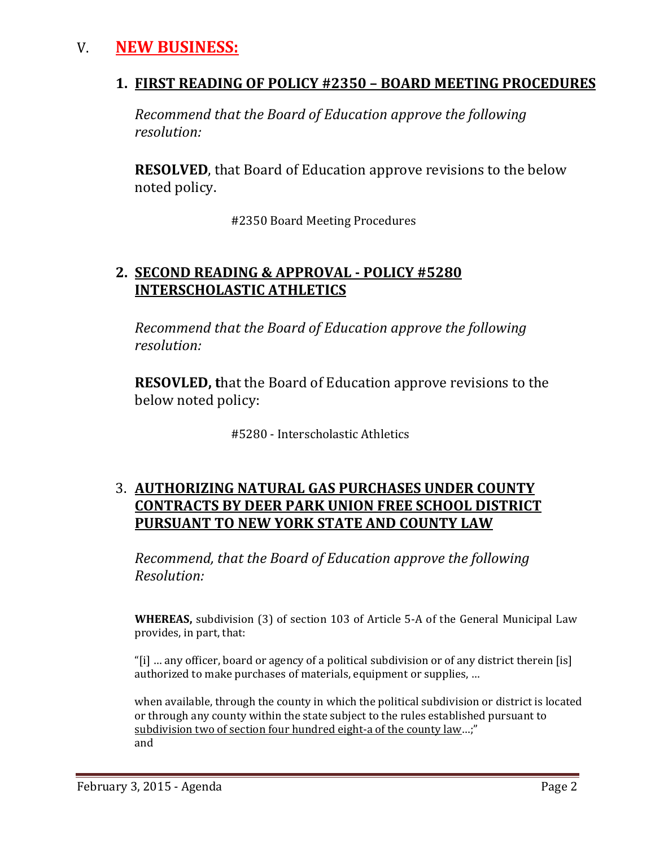# V. **NEW BUSINESS:**

## **1. FIRST READING OF POLICY #2350 – BOARD MEETING PROCEDURES**

*Recommend that the Board of Education approve the following resolution:*

**RESOLVED**, that Board of Education approve revisions to the below noted policy.

#2350 Board Meeting Procedures

## **2. SECOND READING & APPROVAL - POLICY #5280 INTERSCHOLASTIC ATHLETICS**

*Recommend that the Board of Education approve the following resolution:*

**RESOVLED, t**hat the Board of Education approve revisions to the below noted policy:

#5280 - Interscholastic Athletics

# 3. **AUTHORIZING NATURAL GAS PURCHASES UNDER COUNTY CONTRACTS BY DEER PARK UNION FREE SCHOOL DISTRICT PURSUANT TO NEW YORK STATE AND COUNTY LAW**

*Recommend, that the Board of Education approve the following Resolution:*

**WHEREAS,** subdivision (3) of section 103 of Article 5-A of the General Municipal Law provides, in part, that:

"[i] … any officer, board or agency of a political subdivision or of any district therein [is] authorized to make purchases of materials, equipment or supplies, …

when available, through the county in which the political subdivision or district is located or through any county within the state subject to the rules established pursuant to [subdivision two of section four hundred eight-a of the county law…](http://web2.westlaw.com/find/default.wl?referencepositiontype=T&docname=NYCYS408-A&rp=%2ffind%2fdefault.wl&sv=Full&utid=%7b9CD488D6-7416-4454-B1BF-E71ED6693034%7d&rs=WLW8.10&db=1000065&tf=-1&findtype=L&fn=_top&mt=NewYork&vr=2.0&referenceposition=SP%3b57e60000f6d46&tc=-1&ordoc=2627633);" and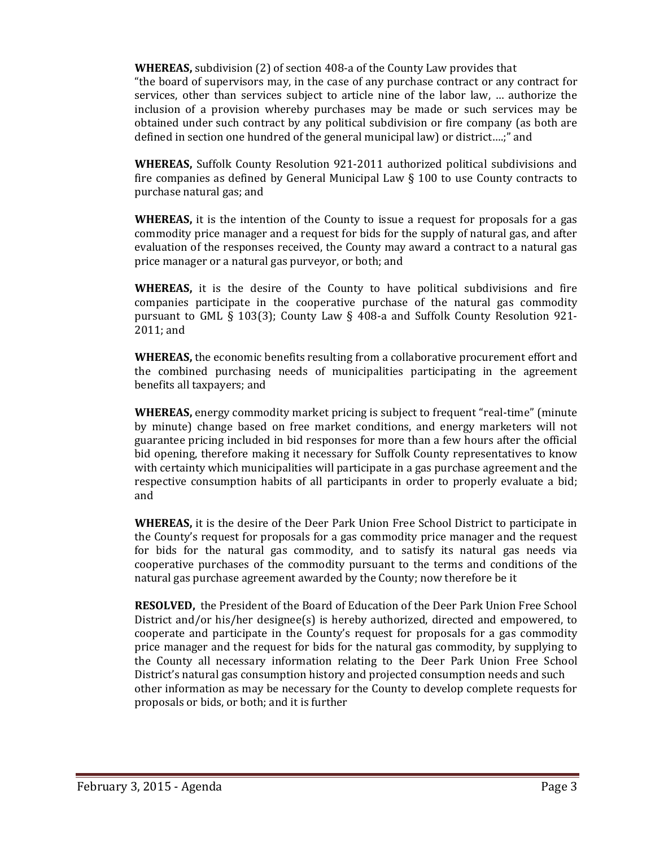**WHEREAS,** subdivision (2) of section 408-a of the County Law provides that

"the board of supervisors may, in the case of any purchase contract or any contract for services, other than services subject to article nine of the labor law, … authorize the inclusion of a provision whereby purchases may be made or such services may be obtained under such contract by any political subdivision or fire company (as both are defined in section one hundred of the general municipal law) or district….;" and

**WHEREAS,** Suffolk County Resolution 921-2011 authorized political subdivisions and fire companies as defined by General Municipal Law  $\S$  100 to use County contracts to purchase natural gas; and

**WHEREAS,** it is the intention of the County to issue a request for proposals for a gas commodity price manager and a request for bids for the supply of natural gas, and after evaluation of the responses received, the County may award a contract to a natural gas price manager or a natural gas purveyor, or both; and

**WHEREAS,** it is the desire of the County to have political subdivisions and fire companies participate in the cooperative purchase of the natural gas commodity pursuant to GML § 103(3); County Law § 408-a and Suffolk County Resolution 921- 2011; and

**WHEREAS,** the economic benefits resulting from a collaborative procurement effort and the combined purchasing needs of municipalities participating in the agreement benefits all taxpayers; and

**WHEREAS,** energy commodity market pricing is subject to frequent "real-time" (minute by minute) change based on free market conditions, and energy marketers will not guarantee pricing included in bid responses for more than a few hours after the official bid opening, therefore making it necessary for Suffolk County representatives to know with certainty which municipalities will participate in a gas purchase agreement and the respective consumption habits of all participants in order to properly evaluate a bid; and

**WHEREAS,** it is the desire of the Deer Park Union Free School District to participate in the County's request for proposals for a gas commodity price manager and the request for bids for the natural gas commodity, and to satisfy its natural gas needs via cooperative purchases of the commodity pursuant to the terms and conditions of the natural gas purchase agreement awarded by the County; now therefore be it

**RESOLVED,** the President of the Board of Education of the Deer Park Union Free School District and/or his/her designee(s) is hereby authorized, directed and empowered, to cooperate and participate in the County's request for proposals for a gas commodity price manager and the request for bids for the natural gas commodity, by supplying to the County all necessary information relating to the Deer Park Union Free School District's natural gas consumption history and projected consumption needs and such other information as may be necessary for the County to develop complete requests for proposals or bids, or both; and it is further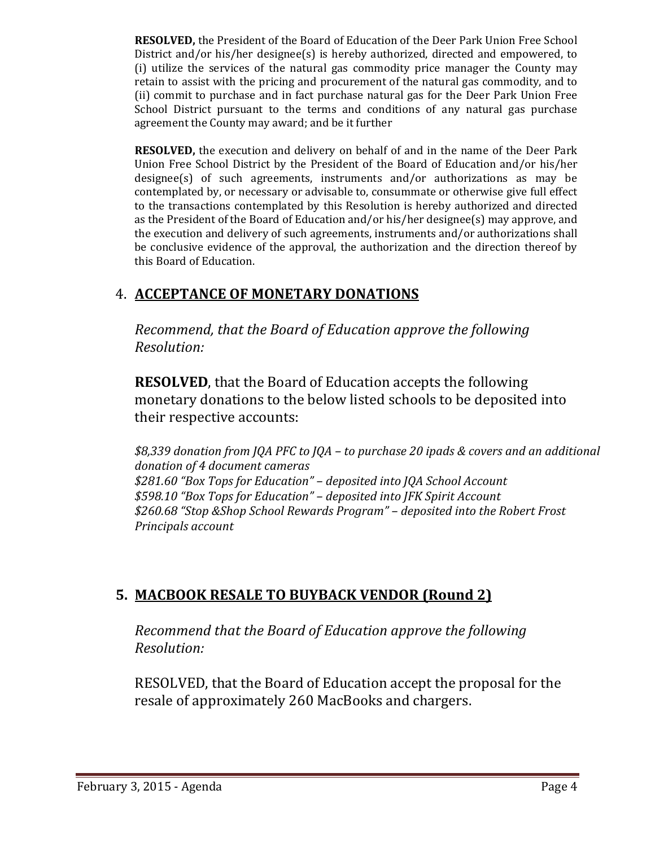**RESOLVED,** the President of the Board of Education of the Deer Park Union Free School District and/or his/her designee(s) is hereby authorized, directed and empowered, to (i) utilize the services of the natural gas commodity price manager the County may retain to assist with the pricing and procurement of the natural gas commodity, and to (ii) commit to purchase and in fact purchase natural gas for the Deer Park Union Free School District pursuant to the terms and conditions of any natural gas purchase agreement the County may award; and be it further

**RESOLVED,** the execution and delivery on behalf of and in the name of the Deer Park Union Free School District by the President of the Board of Education and/or his/her designee(s) of such agreements, instruments and/or authorizations as may be contemplated by, or necessary or advisable to, consummate or otherwise give full effect to the transactions contemplated by this Resolution is hereby authorized and directed as the President of the Board of Education and/or his/her designee(s) may approve, and the execution and delivery of such agreements, instruments and/or authorizations shall be conclusive evidence of the approval, the authorization and the direction thereof by this Board of Education.

# 4. **ACCEPTANCE OF MONETARY DONATIONS**

*Recommend, that the Board of Education approve the following Resolution:*

**RESOLVED**, that the Board of Education accepts the following monetary donations to the below listed schools to be deposited into their respective accounts:

*\$8,339 donation from JQA PFC to JQA – to purchase 20 ipads & covers and an additional donation of 4 document cameras \$281.60 "Box Tops for Education" – deposited into JQA School Account \$598.10 "Box Tops for Education" – deposited into JFK Spirit Account \$260.68 "Stop &Shop School Rewards Program" – deposited into the Robert Frost Principals account* 

# **5. MACBOOK RESALE TO BUYBACK VENDOR (Round 2)**

*Recommend that the Board of Education approve the following Resolution:*

RESOLVED, that the Board of Education accept the proposal for the resale of approximately 260 MacBooks and chargers.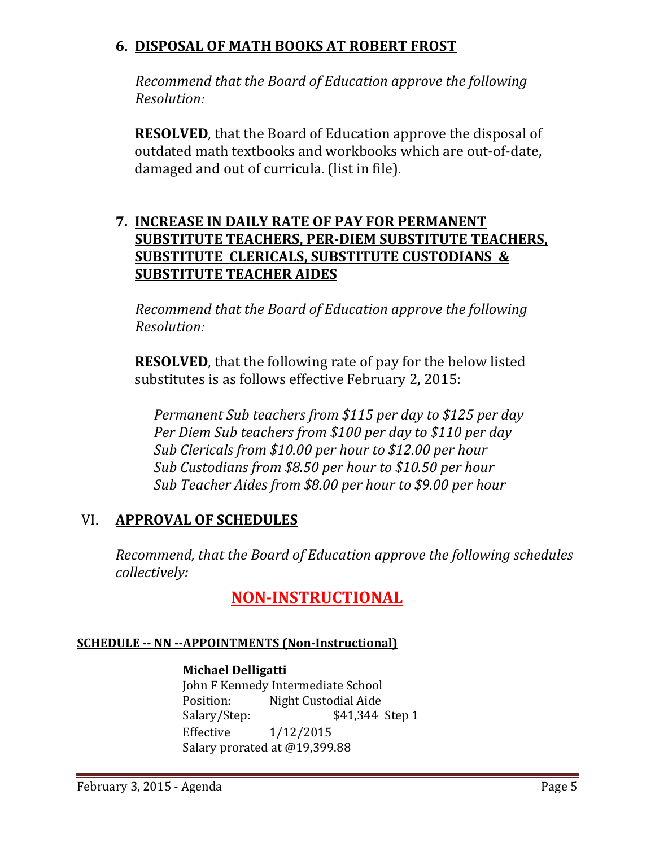# **6. DISPOSAL OF MATH BOOKS AT ROBERT FROST**

 *Recommend that the Board of Education approve the following Resolution:*

**RESOLVED**, that the Board of Education approve the disposal of outdated math textbooks and workbooks which are out-of-date, damaged and out of curricula. (list in file).

# **7. INCREASE IN DAILY RATE OF PAY FOR PERMANENT SUBSTITUTE TEACHERS, PER-DIEM SUBSTITUTE TEACHERS, SUBSTITUTE CLERICALS, SUBSTITUTE CUSTODIANS & SUBSTITUTE TEACHER AIDES**

 *Recommend that the Board of Education approve the following Resolution:*

**RESOLVED**, that the following rate of pay for the below listed substitutes is as follows effective February 2, 2015:

*Permanent Sub teachers from \$115 per day to \$125 per day Per Diem Sub teachers from \$100 per day to \$110 per day Sub Clericals from \$10.00 per hour to \$12.00 per hour Sub Custodians from \$8.50 per hour to \$10.50 per hour Sub Teacher Aides from \$8.00 per hour to \$9.00 per hour*

# VI. **APPROVAL OF SCHEDULES**

*Recommend, that the Board of Education approve the following schedules collectively:*

# **NON-INSTRUCTIONAL**

## **SCHEDULE -- NN --APPOINTMENTS (Non-Instructional)**

## **Michael Delligatti**

John F Kennedy Intermediate School<br>Position: Night Custodial Aide Position: Night Custodial Aide<br>Salary/Step: \$41,344 Salary/Step: \$41,344 Step 1<br>Effective 1/12/2015 Effective 1/12/2015 Salary prorated at @19,399.88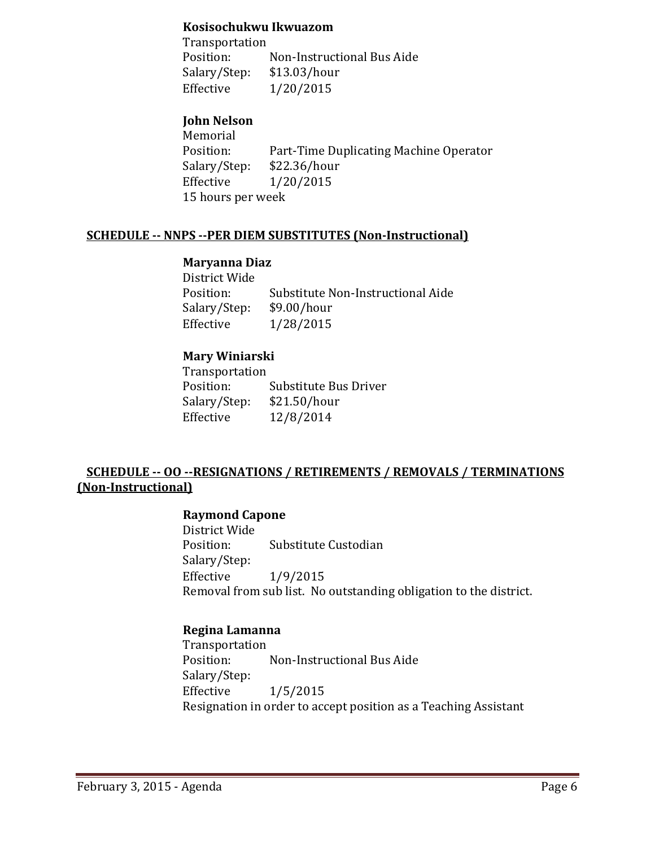#### **Kosisochukwu Ikwuazom**

Transportation<br>Position: Non-Instructional Bus Aide<br>\$13.03/hour Salary/Step:<br>Effective  $1/20/2015$ 

## **John Nelson**

Memorial<br>Position: Part-Time Duplicating Machine Operator<br>\$22.36/hour Salary/Step:<br>Effective  $1/20/2015$ 15 hours per week

#### **SCHEDULE -- NNPS --PER DIEM SUBSTITUTES (Non-Instructional)**

#### **Maryanna Diaz**

| District Wide |                                   |
|---------------|-----------------------------------|
| Position:     | Substitute Non-Instructional Aide |
| Salary/Step:  | \$9.00/hour                       |
| Effective     | 1/28/2015                         |
|               |                                   |

#### **Mary Winiarski**

Transportation Substitute Bus Driver<br>\$21.50/hour Salary/Step:<br>Effective Effective 12/8/2014

## **SCHEDULE -- OO --RESIGNATIONS / RETIREMENTS / REMOVALS / TERMINATIONS (Non-Instructional)**

#### **Raymond Capone**

District Wide<br>Position: Substitute Custodian Salary/Step:  $1/9/2015$ Removal from sub list. No outstanding obligation to the district.

#### **Regina Lamanna**

Transportation<br>Position: Non-Instructional Bus Aide Salary/Step:<br>Effective  $1/5/2015$ Resignation in order to accept position as a Teaching Assistant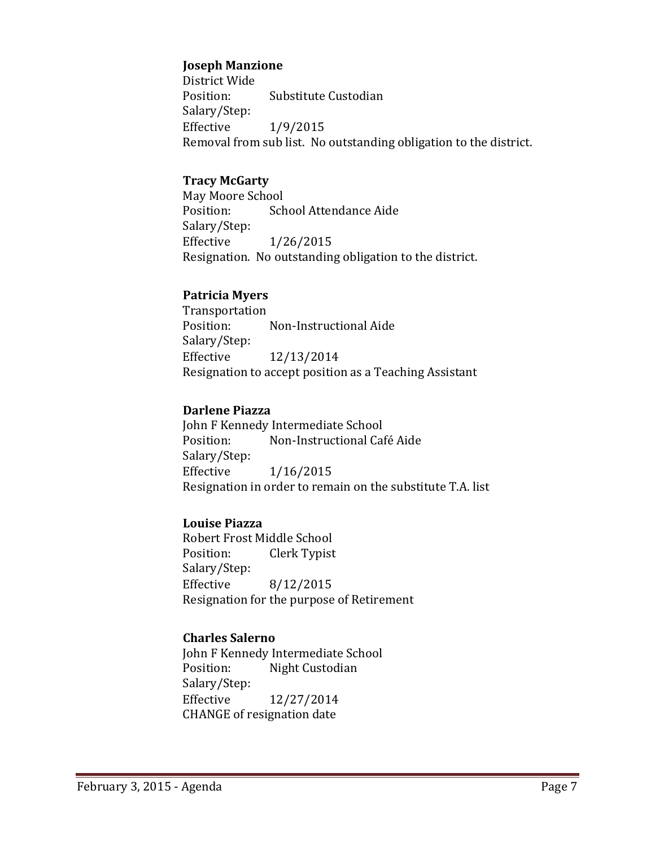#### **Joseph Manzione**

District Wide<br>Position: Substitute Custodian Salary/Step:<br>Effective  $1/9/2015$ Removal from sub list. No outstanding obligation to the district.

#### **Tracy McGarty**

May Moore School<br>Position: Sch School Attendance Aide Salary/Step: Effective 1/26/2015 Resignation. No outstanding obligation to the district.

#### **Patricia Myers**

Transportation<br>Position: Non-Instructional Aide Salary/Step: Effective 12/13/2014 Resignation to accept position as a Teaching Assistant

#### **Darlene Piazza**

John F Kennedy Intermediate School<br>Position: Mon-Instructional Cai Non-Instructional Café Aide Salary/Step: Effective 1/16/2015 Resignation in order to remain on the substitute T.A. list

#### **Louise Piazza**

Robert Frost Middle School<br>Position: Clerk Typist Clerk Typist Salary/Step:<br>Effective Effective 8/12/2015 Resignation for the purpose of Retirement

#### **Charles Salerno**

John F Kennedy Intermediate School<br>Position: Night Custodian Night Custodian Salary/Step:<br>Effective Effective 12/27/2014 CHANGE of resignation date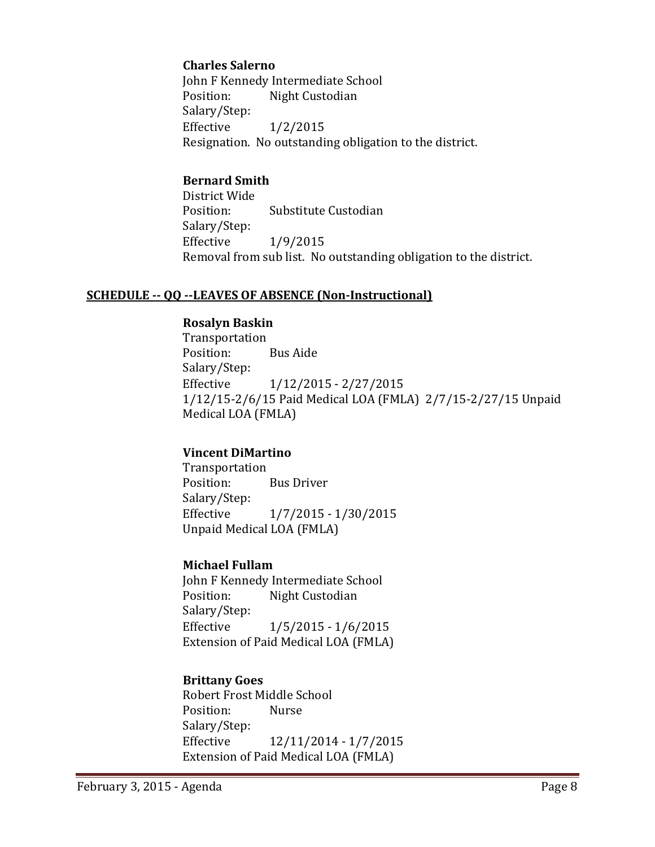#### **Charles Salerno**

John F Kennedy Intermediate School<br>Position: Night Custodian Night Custodian Salary/Step:<br>Effective  $1/2/2015$ Resignation. No outstanding obligation to the district.

#### **Bernard Smith**

District Wide Substitute Custodian Salary/Step:  $1/9/2015$ Removal from sub list. No outstanding obligation to the district.

#### **SCHEDULE -- QQ --LEAVES OF ABSENCE (Non-Instructional)**

#### **Rosalyn Baskin**

Transportation Position: Bus Aide Salary/Step:<br>Effective Effective 1/12/2015 - 2/27/2015 1/12/15-2/6/15 Paid Medical LOA (FMLA) 2/7/15-2/27/15 Unpaid Medical LOA (FMLA)

#### **Vincent DiMartino**

Transportation **Bus Driver** Salary/Step:<br>Effective Effective 1/7/2015 - 1/30/2015 Unpaid Medical LOA (FMLA)

#### **Michael Fullam**

John F Kennedy Intermediate School<br>Position: Night Custodian Night Custodian Salary/Step: Effective 1/5/2015 - 1/6/2015 Extension of Paid Medical LOA (FMLA)

#### **Brittany Goes**

Robert Frost Middle School<br>Position: Nurse Position: Salary/Step: Effective 12/11/2014 - 1/7/2015 Extension of Paid Medical LOA (FMLA)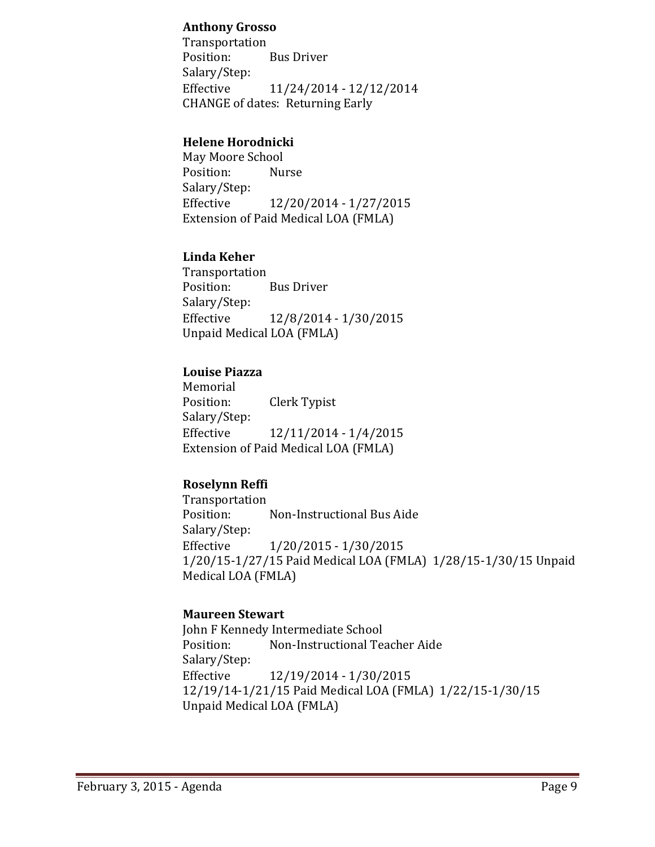#### **Anthony Grosso**

Transportation **Bus Driver** Salary/Step:<br>Effective Effective 11/24/2014 - 12/12/2014 CHANGE of dates: Returning Early

#### **Helene Horodnicki**

May Moore School Position: Salary/Step:<br>Effective Effective 12/20/2014 - 1/27/2015 Extension of Paid Medical LOA (FMLA)

#### **Linda Keher**

Transportation **Bus Driver** Salary/Step: Effective 12/8/2014 - 1/30/2015 Unpaid Medical LOA (FMLA)

#### **Louise Piazza**

Memorial<br>Position: **Clerk Typist** Salary/Step: Effective 12/11/2014 - 1/4/2015 Extension of Paid Medical LOA (FMLA)

## **Roselynn Reffi**

Transportation Non-Instructional Bus Aide Salary/Step: Effective 1/20/2015 - 1/30/2015 1/20/15-1/27/15 Paid Medical LOA (FMLA) 1/28/15-1/30/15 Unpaid Medical LOA (FMLA)

#### **Maureen Stewart**

John F Kennedy Intermediate School<br>Position: Non-Instructional Tea Non-Instructional Teacher Aide Salary/Step: Effective 12/19/2014 - 1/30/2015 12/19/14-1/21/15 Paid Medical LOA (FMLA) 1/22/15-1/30/15 Unpaid Medical LOA (FMLA)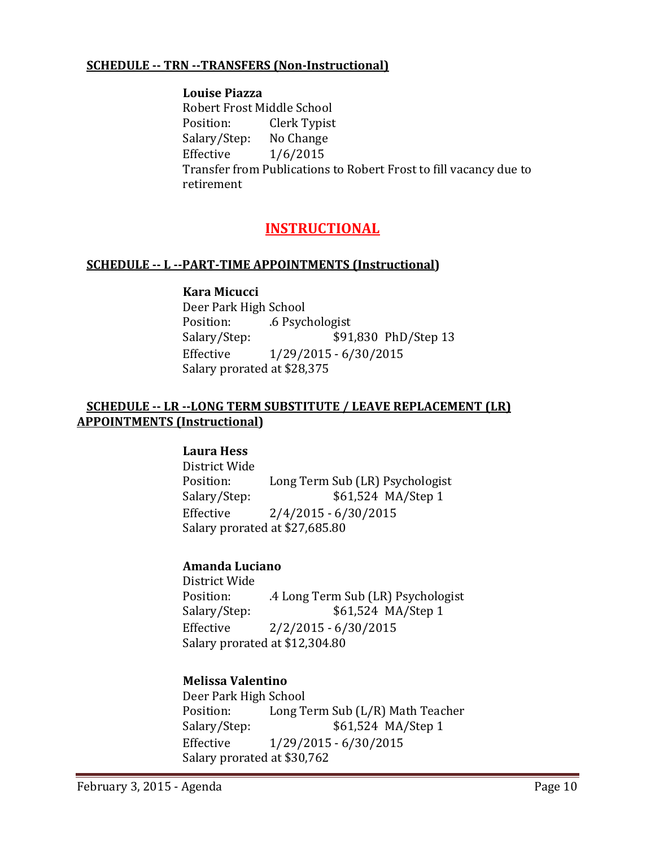#### **SCHEDULE -- TRN --TRANSFERS (Non-Instructional)**

#### **Louise Piazza** Robert Frost Middle School<br>Position: Clerk Typist Clerk Typist<br>No Change Salary/Step:<br>Effective  $1/6/2015$ Transfer from Publications to Robert Frost to fill vacancy due to retirement

## **INSTRUCTIONAL**

#### **SCHEDULE -- L --PART-TIME APPOINTMENTS (Instructional)**

#### **Kara Micucci**

Deer Park High School<br>Position: ... ... ... .6 Psyc Position: .6 Psychologist<br>Salary/Step: .391 Salary/Step: \$91,830 PhD/Step 13<br>Effective 1/29/2015 - 6/30/2015  $1/29/2015 - 6/30/2015$ Salary prorated at \$28,375

#### **SCHEDULE -- LR --LONG TERM SUBSTITUTE / LEAVE REPLACEMENT (LR) APPOINTMENTS (Instructional)**

#### **Laura Hess**

District Wide Position: Long Term Sub (LR) Psychologist<br>Salary/Step: \$61,524 MA/Step 1 \$61,524 MA/Step 1 Effective 2/4/2015 - 6/30/2015 Salary prorated at \$27,685.80

#### **Amanda Luciano**

District Wide<br>Position: Position: .4 Long Term Sub (LR) Psychologist<br>Salary/Step: \$61,524 MA/Step 1 \$61,524 MA/Step 1 Effective 2/2/2015 - 6/30/2015 Salary prorated at \$12,304.80

#### **Melissa Valentino**

Deer Park High School<br>Position: Long T Position: Long Term Sub (L/R) Math Teacher<br>Salary/Step: \$61,524 MA/Step 1 \$61,524 MA/Step 1 Effective 1/29/2015 - 6/30/2015 Salary prorated at \$30,762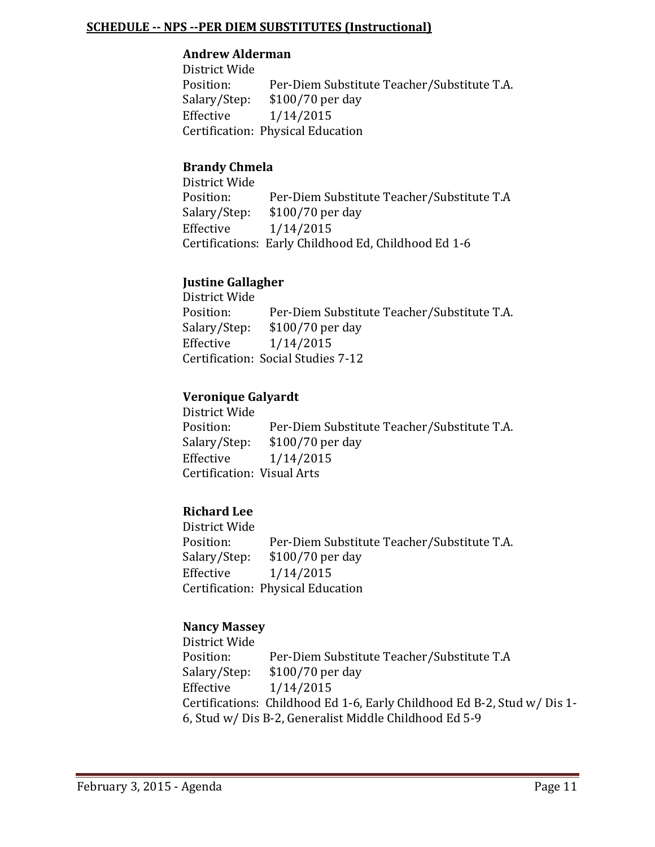#### **SCHEDULE -- NPS --PER DIEM SUBSTITUTES (Instructional)**

#### **Andrew Alderman**

District Wide Position: Per-Diem Substitute Teacher/Substitute T.A.<br>Salary/Step: \$100/70 per day Salary/Step: \$100/70 per day<br>Effective 1/14/2015  $1/14/2015$ Certification: Physical Education

#### **Brandy Chmela**

District Wide Position: Per-Diem Substitute Teacher/Substitute T.A<br>Salary/Step: \$100/70 per day Salary/Step: \$100/70 per day<br>Effective 1/14/2015  $1/14/2015$ Certifications: Early Childhood Ed, Childhood Ed 1-6

#### **Justine Gallagher**

District Wide Position: Per-Diem Substitute Teacher/Substitute T.A.<br>Salary/Step: \$100/70 per day Salary/Step: \$100/70 per day<br>Effective 1/14/2015  $1/14/2015$ Certification: Social Studies 7-12

#### **Veronique Galyardt**

| District Wide              |                                             |
|----------------------------|---------------------------------------------|
| Position:                  | Per-Diem Substitute Teacher/Substitute T.A. |
| Salary/Step:               | \$100/70 per day                            |
| Effective                  | 1/14/2015                                   |
| Certification: Visual Arts |                                             |
|                            |                                             |

#### **Richard Lee**

District Wide Position: Per-Diem Substitute Teacher/Substitute T.A.<br>Salary/Step: \$100/70 per day Salary/Step: \$100/70 per day<br>Effective 1/14/2015  $1/14/2015$ Certification: Physical Education

#### **Nancy Massey**

District Wide Position: Per-Diem Substitute Teacher/Substitute T.A<br>Salary/Step: \$100/70 per day Salary/Step: \$100/70 per day<br>Effective 1/14/2015 Effective 1/14/2015 Certifications: Childhood Ed 1-6, Early Childhood Ed B-2, Stud w/ Dis 1- 6, Stud w/ Dis B-2, Generalist Middle Childhood Ed 5-9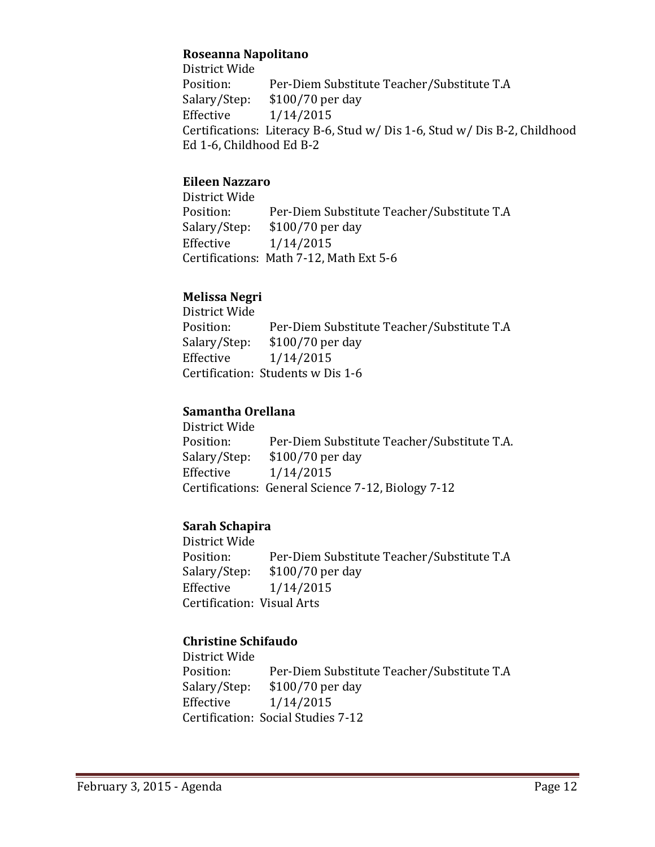#### **Roseanna Napolitano**

District Wide Position: Per-Diem Substitute Teacher/Substitute T.A<br>Salary/Step: \$100/70 per day Salary/Step: \$100/70 per day<br>Effective 1/14/2015  $1/14/2015$ Certifications: Literacy B-6, Stud w/ Dis 1-6, Stud w/ Dis B-2, Childhood Ed 1-6, Childhood Ed B-2

#### **Eileen Nazzaro**

District Wide Position: Per-Diem Substitute Teacher/Substitute T.A<br>Salary/Step: \$100/70 per day Salary/Step: \$100/70 per day<br>Effective 1/14/2015 Effective 1/14/2015 Certifications: Math 7-12, Math Ext 5-6

#### **Melissa Negri**

District Wide Position: Per-Diem Substitute Teacher/Substitute T.A<br>Salary/Step: \$100/70 per day  $$100/70$  per day Effective 1/14/2015 Certification: Students w Dis 1-6

#### **Samantha Orellana**

District Wide Position: Per-Diem Substitute Teacher/Substitute T.A.<br>Salary/Step: \$100/70 per day \$100/70 per day Effective 1/14/2015 Certifications: General Science 7-12, Biology 7-12

## **Sarah Schapira**

District Wide Position: Per-Diem Substitute Teacher/Substitute T.A<br>Salary/Step: \$100/70 per day Salary/Step: \$100/70 per day<br>Effective 1/14/2015  $1/14/2015$ Certification: Visual Arts

## **Christine Schifaudo**

District Wide Position: Per-Diem Substitute Teacher/Substitute T.A<br>Salary/Step: \$100/70 per day Salary/Step: \$100/70 per day<br>Effective 1/14/2015  $1/14/2015$ Certification: Social Studies 7-12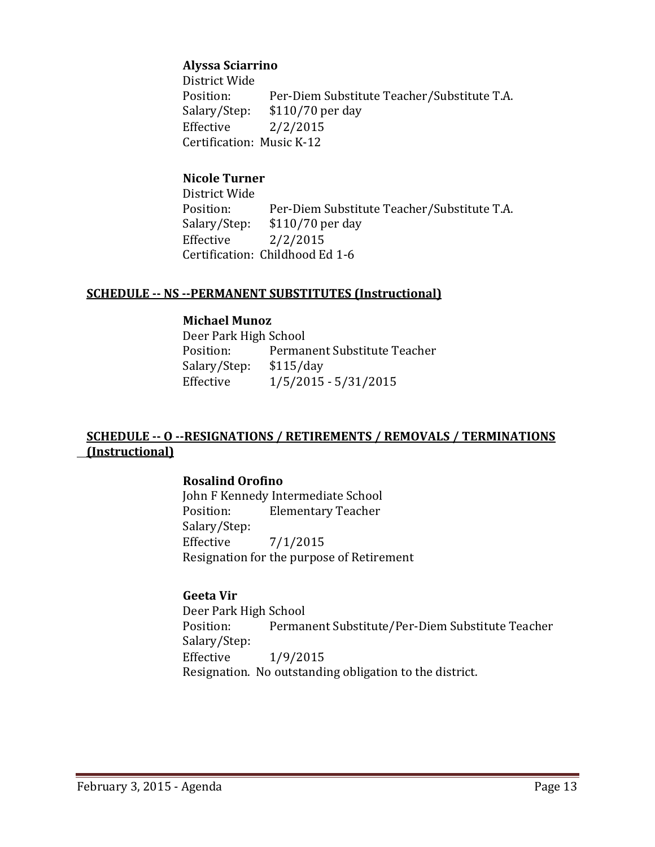#### **Alyssa Sciarrino**

District Wide<br>Position: Position: Per-Diem Substitute Teacher/Substitute T.A.<br>Salary/Step: \$110/70 per day Salary/Step: \$110/70 per day<br>Effective 2/2/2015  $2/2/2015$ Certification: Music K-12

## **Nicole Turner**

District Wide Position: Per-Diem Substitute Teacher/Substitute T.A.<br>Salary/Step: \$110/70 per day Salary/Step: \$110/70 per day<br>Effective 2/2/2015  $2/2/2015$ Certification: Childhood Ed 1-6

#### **SCHEDULE -- NS --PERMANENT SUBSTITUTES (Instructional)**

#### **Michael Munoz**

Deer Park High School<br>Position: Permai Permanent Substitute Teacher<br>\$115/day Salary/Step:<br>Effective  $1/5/2015 - 5/31/2015$ 

#### **SCHEDULE -- O --RESIGNATIONS / RETIREMENTS / REMOVALS / TERMINATIONS (Instructional)**

#### **Rosalind Orofino**

John F Kennedy Intermediate School<br>Position: Elementary Teacher **Elementary Teacher** Salary/Step:<br>Effective  $7/1/2015$ Resignation for the purpose of Retirement

## **Geeta Vir**

Deer Park High School<br>Position: Permai Permanent Substitute/Per-Diem Substitute Teacher Salary/Step: Effective 1/9/2015 Resignation. No outstanding obligation to the district.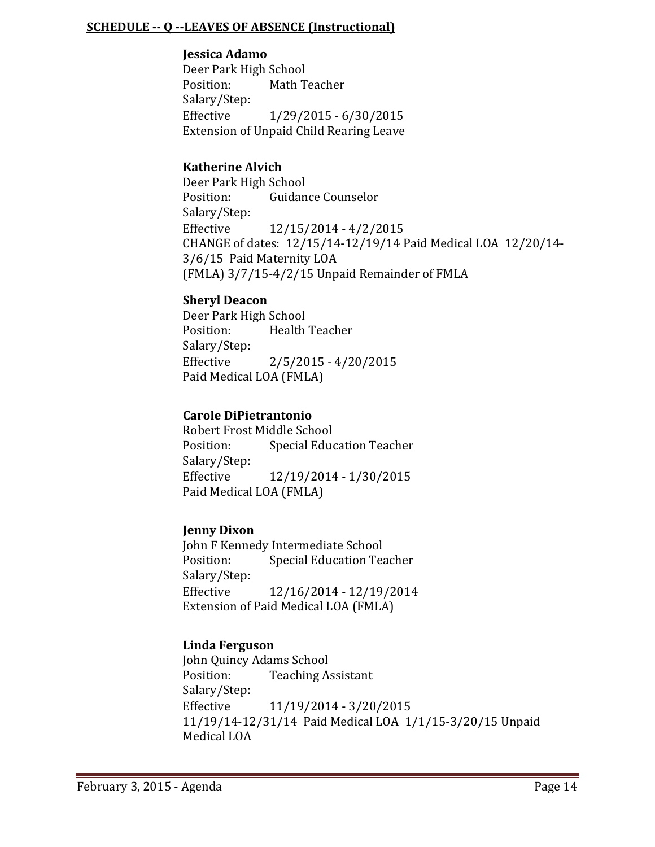#### **SCHEDULE -- Q --LEAVES OF ABSENCE (Instructional)**

#### **Jessica Adamo**

Deer Park High School<br>Position: Math T Math Teacher Salary/Step: Effective 1/29/2015 - 6/30/2015 Extension of Unpaid Child Rearing Leave

#### **Katherine Alvich**

Deer Park High School<br>Position: Guidan Guidance Counselor Salary/Step:<br>Effective Effective 12/15/2014 - 4/2/2015 CHANGE of dates: 12/15/14-12/19/14 Paid Medical LOA 12/20/14- 3/6/15 Paid Maternity LOA (FMLA) 3/7/15-4/2/15 Unpaid Remainder of FMLA

#### **Sheryl Deacon**

Deer Park High School<br>Position: Health Health Teacher Salary/Step:<br>Effective  $2/5/2015 - 4/20/2015$ Paid Medical LOA (FMLA)

#### **Carole DiPietrantonio**

Robert Frost Middle School<br>Position: Special Educ **Special Education Teacher** Salary/Step:<br>Effective Effective 12/19/2014 - 1/30/2015 Paid Medical LOA (FMLA)

#### **Jenny Dixon**

John F Kennedy Intermediate School<br>Position: Special Education Tea **Special Education Teacher** Salary/Step: Effective 12/16/2014 - 12/19/2014 Extension of Paid Medical LOA (FMLA)

#### **Linda Ferguson**

John Quincy Adams School<br>Position: Teaching A **Teaching Assistant** Salary/Step:<br>Effective Effective 11/19/2014 - 3/20/2015 11/19/14-12/31/14 Paid Medical LOA 1/1/15-3/20/15 Unpaid Medical LOA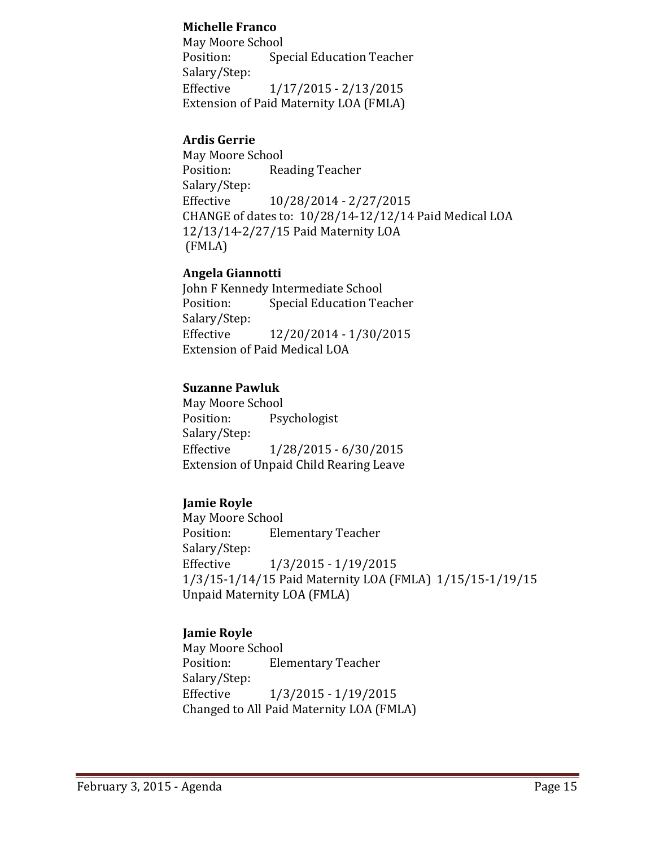#### **Michelle Franco**

May Moore School<br>Position: Spe **Special Education Teacher** Salary/Step:<br>Effective Effective 1/17/2015 - 2/13/2015 Extension of Paid Maternity LOA (FMLA)

#### **Ardis Gerrie**

May Moore School<br>Position: Rea Reading Teacher Salary/Step:<br>Effective Effective 10/28/2014 - 2/27/2015 CHANGE of dates to: 10/28/14-12/12/14 Paid Medical LOA 12/13/14-2/27/15 Paid Maternity LOA (FMLA)

#### **Angela Giannotti**

John F Kennedy Intermediate School<br>Position: Special Education Tea Special Education Teacher Salary/Step:<br>Effective Effective 12/20/2014 - 1/30/2015 Extension of Paid Medical LOA

#### **Suzanne Pawluk**

May Moore School<br>Position: Psy Psychologist Salary/Step:<br>Effective Effective 1/28/2015 - 6/30/2015 Extension of Unpaid Child Rearing Leave

## **Jamie Royle**

May Moore School<br>Position: Ele **Elementary Teacher** Salary/Step:<br>Effective Effective 1/3/2015 - 1/19/2015 1/3/15-1/14/15 Paid Maternity LOA (FMLA) 1/15/15-1/19/15 Unpaid Maternity LOA (FMLA)

## **Jamie Royle**

May Moore School<br>Position: Ele **Elementary Teacher** Salary/Step: Effective 1/3/2015 - 1/19/2015 Changed to All Paid Maternity LOA (FMLA)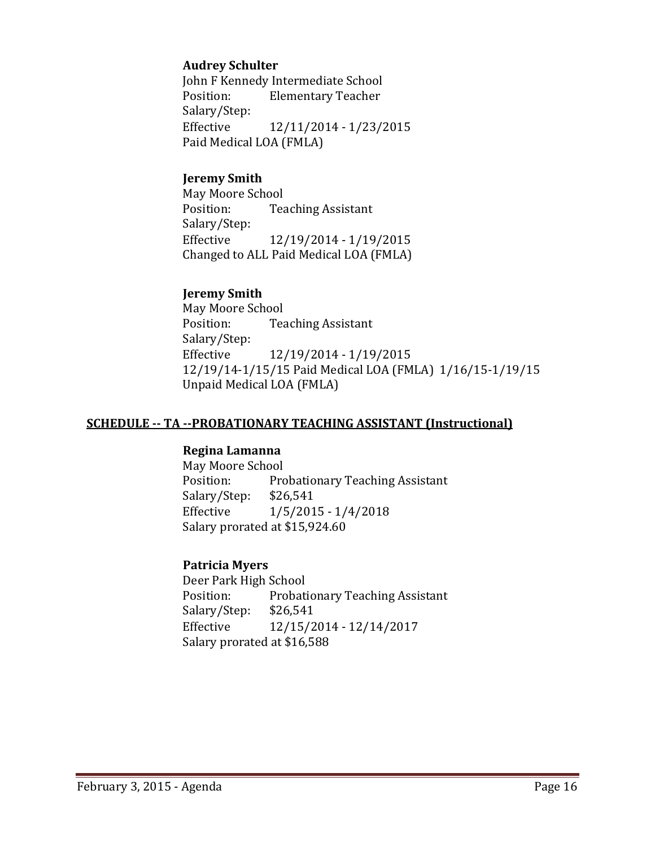#### **Audrey Schulter**

John F Kennedy Intermediate School<br>Position: Flementary Teacher **Elementary Teacher** Salary/Step:<br>Effective Effective 12/11/2014 - 1/23/2015 Paid Medical LOA (FMLA)

#### **Jeremy Smith**

May Moore School<br>Position: Tea **Teaching Assistant** Salary/Step:<br>Effective Effective 12/19/2014 - 1/19/2015 Changed to ALL Paid Medical LOA (FMLA)

#### **Jeremy Smith**

May Moore School<br>Position: Tea **Teaching Assistant** Salary/Step:<br>Effective Effective 12/19/2014 - 1/19/2015 12/19/14-1/15/15 Paid Medical LOA (FMLA) 1/16/15-1/19/15 Unpaid Medical LOA (FMLA)

#### **SCHEDULE -- TA --PROBATIONARY TEACHING ASSISTANT (Instructional)**

#### **Regina Lamanna**

May Moore School<br>Position: Pro Probationary Teaching Assistant<br>\$26,541 Salary/Step:<br>Effective  $1/5/2015 - 1/4/2018$ Salary prorated at \$15,924.60

#### **Patricia Myers**

Deer Park High School<br>Position: Probati Probationary Teaching Assistant<br>\$26,541 Salary/Step:<br>Effective Effective 12/15/2014 - 12/14/2017 Salary prorated at \$16,588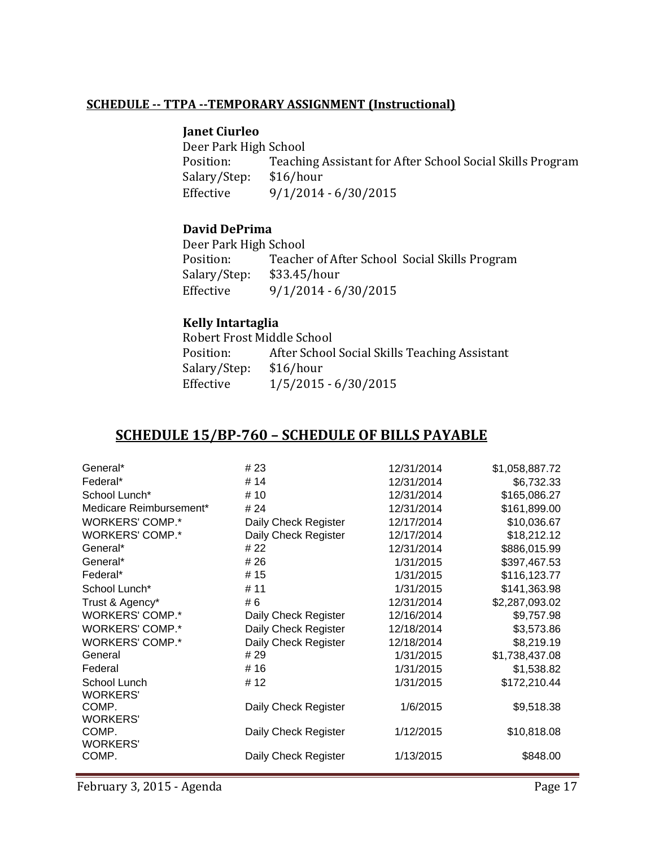#### **SCHEDULE -- TTPA --TEMPORARY ASSIGNMENT (Instructional)**

#### **Janet Ciurleo**

Deer Park High School<br>Position: Teachii Teaching Assistant for After School Social Skills Program \$16/hour Salary/Step:<br>Effective  $9/1/2014 - 6/30/2015$ 

#### **David DePrima**

Deer Park High School<br>Position: Teache Teacher of After School Social Skills Program<br>\$33.45/hour Salary/Step:<br>Effective  $9/1/2014 - 6/30/2015$ 

#### **Kelly Intartaglia**

Robert Frost Middle School<br>Position: After School After School Social Skills Teaching Assistant<br>\$16/hour Salary/Step:<br>Effective  $1/5/2015 - 6/30/2015$ 

## **SCHEDULE 15/BP-760 – SCHEDULE OF BILLS PAYABLE**

| General*                        | # 23                 | 12/31/2014 | \$1,058,887.72 |
|---------------------------------|----------------------|------------|----------------|
| Federal*                        | # 14                 | 12/31/2014 | \$6,732.33     |
| School Lunch*                   | # 10                 | 12/31/2014 | \$165,086.27   |
| Medicare Reimbursement*         | # 24                 | 12/31/2014 | \$161,899.00   |
| <b>WORKERS' COMP.*</b>          | Daily Check Register | 12/17/2014 | \$10,036.67    |
| <b>WORKERS' COMP.*</b>          | Daily Check Register | 12/17/2014 | \$18,212.12    |
| General*                        | # 22                 | 12/31/2014 | \$886,015.99   |
| General*                        | # 26                 | 1/31/2015  | \$397,467.53   |
| Federal*                        | #15                  | 1/31/2015  | \$116,123.77   |
| School Lunch*                   | # 11                 | 1/31/2015  | \$141,363.98   |
| Trust & Agency*                 | # 6                  | 12/31/2014 | \$2,287,093.02 |
| <b>WORKERS' COMP.*</b>          | Daily Check Register | 12/16/2014 | \$9,757.98     |
| <b>WORKERS' COMP.*</b>          | Daily Check Register | 12/18/2014 | \$3,573.86     |
| <b>WORKERS' COMP.*</b>          | Daily Check Register | 12/18/2014 | \$8,219.19     |
| General                         | # 29                 | 1/31/2015  | \$1,738,437.08 |
| Federal                         | #16                  | 1/31/2015  | \$1,538.82     |
| School Lunch<br><b>WORKERS'</b> | #12                  | 1/31/2015  | \$172,210.44   |
| COMP.<br><b>WORKERS'</b>        | Daily Check Register | 1/6/2015   | \$9,518.38     |
| COMP.<br><b>WORKERS'</b>        | Daily Check Register | 1/12/2015  | \$10,818.08    |
| COMP.                           | Daily Check Register | 1/13/2015  | \$848.00       |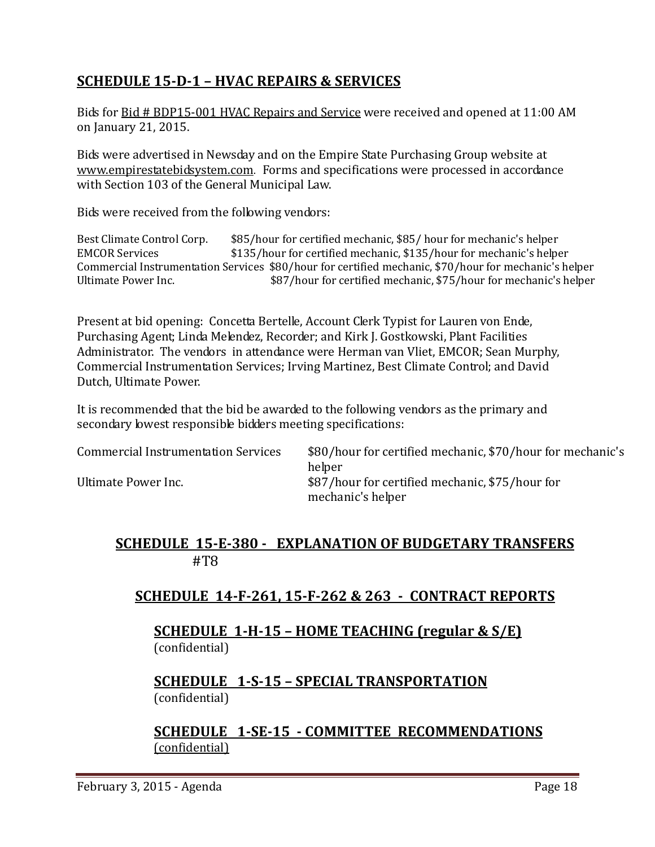# **SCHEDULE 15-D-1 – HVAC REPAIRS & SERVICES**

Bids for Bid # BDP15-001 HVAC Repairs and Service were received and opened at 11:00 AM on January 21, 2015.

Bids were advertised in Newsday and on the Empire State Purchasing Group website at [www.empirestatebidsystem.com.](http://www.empirestatebidsystem.com/) Forms and specifications were processed in accordance with Section 103 of the General Municipal Law.

Bids were received from the following vendors:

Best Climate Control Corp.  $$85/hour$  for certified mechanic, \$85/ hour for mechanic's helper<br>EMCOR Services  $$135/hour$  for certified mechanic. \$135/hour for mechanic's helpe \$135/hour for certified mechanic, \$135/hour for mechanic's helper Commercial Instrumentation Services \$80/hour for certified mechanic, \$70/hour for mechanic's helper \$87/hour for certified mechanic, \$75/hour for mechanic's helper

Present at bid opening: Concetta Bertelle, Account Clerk Typist for Lauren von Ende, Purchasing Agent; Linda Melendez, Recorder; and Kirk J. Gostkowski, Plant Facilities Administrator. The vendors in attendance were Herman van Vliet, EMCOR; Sean Murphy, Commercial Instrumentation Services; Irving Martinez, Best Climate Control; and David Dutch, Ultimate Power.

It is recommended that the bid be awarded to the following vendors as the primary and secondary lowest responsible bidders meeting specifications:

| <b>Commercial Instrumentation Services</b> | \$80/hour for certified mechanic, \$70/hour for mechanic's<br>helper |
|--------------------------------------------|----------------------------------------------------------------------|
| Ultimate Power Inc.                        | \$87/hour for certified mechanic, \$75/hour for<br>mechanic's helper |

## **SCHEDULE 15-E-380 - EXPLANATION OF BUDGETARY TRANSFERS** #T8

# **SCHEDULE 14-F-261, 15-F-262 & 263 - CONTRACT REPORTS**

#### **SCHEDULE 1-H-15 – HOME TEACHING (regular & S/E)**  (confidential)

## **SCHEDULE 1-S-15 – SPECIAL TRANSPORTATION**  (confidential)

**SCHEDULE 1-SE-15 - COMMITTEE RECOMMENDATIONS** (confidential)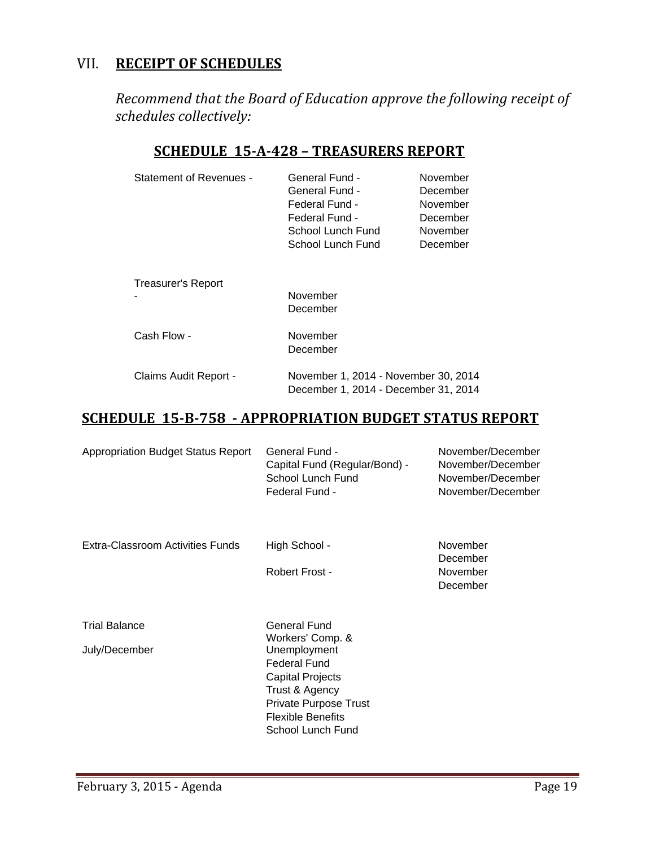# VII. **RECEIPT OF SCHEDULES**

*Recommend that the Board of Education approve the following receipt of schedules collectively:*

## **SCHEDULE 15-A-428 – TREASURERS REPORT**

| <b>Statement of Revenues -</b> | General Fund -<br>General Fund -<br>Federal Fund -<br>Federal Fund -<br>School Lunch Fund<br>School Lunch Fund | November<br>December<br>November<br>December<br>November<br>December |
|--------------------------------|----------------------------------------------------------------------------------------------------------------|----------------------------------------------------------------------|
| Treasurer's Report             | November<br>December                                                                                           |                                                                      |
| Cash Flow -                    | November<br>December                                                                                           |                                                                      |
| Claims Audit Report -          | November 1, 2014 - November 30, 2014<br>December 1, 2014 - December 31, 2014                                   |                                                                      |

# **SCHEDULE 15-B-758 - APPROPRIATION BUDGET STATUS REPORT**

| <b>Appropriation Budget Status Report</b> | General Fund -<br>Capital Fund (Regular/Bond) -<br>School Lunch Fund<br>Federal Fund -                                                                     | November/December<br>November/December<br>November/December<br>November/December |
|-------------------------------------------|------------------------------------------------------------------------------------------------------------------------------------------------------------|----------------------------------------------------------------------------------|
| Extra-Classroom Activities Funds          | High School -                                                                                                                                              | November<br>December                                                             |
|                                           | Robert Frost -                                                                                                                                             | November<br>December                                                             |
| <b>Trial Balance</b>                      | General Fund<br>Workers' Comp. &                                                                                                                           |                                                                                  |
| July/December                             | Unemployment<br><b>Federal Fund</b><br><b>Capital Projects</b><br>Trust & Agency<br>Private Purpose Trust<br><b>Flexible Benefits</b><br>School Lunch Fund |                                                                                  |